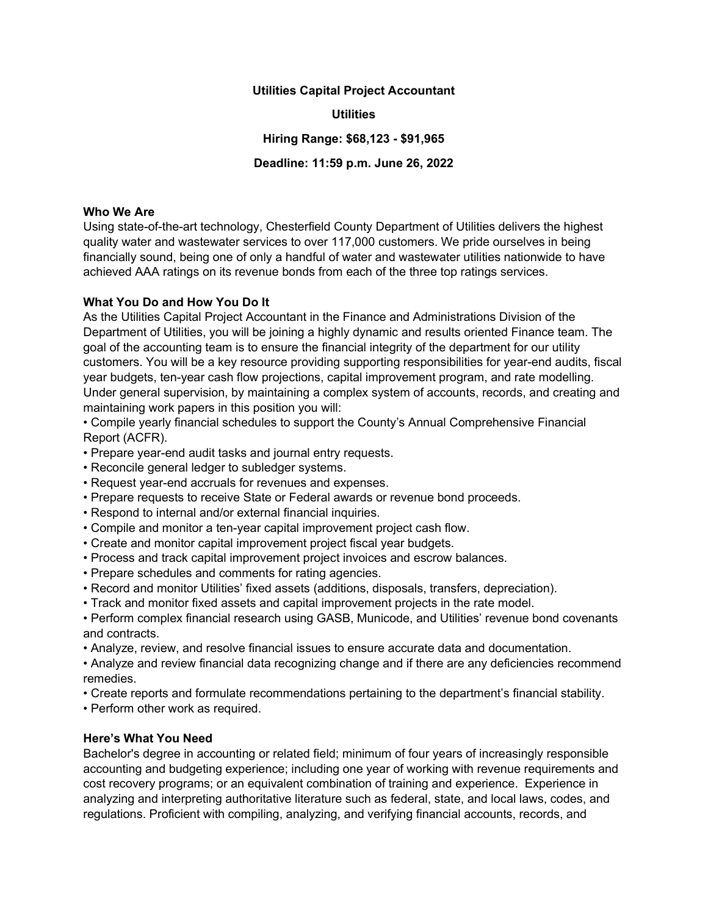#### Utilities Capital Project Accountant

### **Utilities**

Hiring Range: \$68,123 - \$91,965

Deadline: 11:59 p.m. June 26, 2022

## Who We Are

Using state-of-the-art technology, Chesterfield County Department of Utilities delivers the highest quality water and wastewater services to over 117,000 customers. We pride ourselves in being financially sound, being one of only a handful of water and wastewater utilities nationwide to have achieved AAA ratings on its revenue bonds from each of the three top ratings services.

## What You Do and How You Do It

As the Utilities Capital Project Accountant in the Finance and Administrations Division of the Department of Utilities, you will be joining a highly dynamic and results oriented Finance team. The goal of the accounting team is to ensure the financial integrity of the department for our utility customers. You will be a key resource providing supporting responsibilities for year-end audits, fiscal year budgets, ten-year cash flow projections, capital improvement program, and rate modelling. Under general supervision, by maintaining a complex system of accounts, records, and creating and maintaining work papers in this position you will:

• Compile yearly financial schedules to support the County's Annual Comprehensive Financial Report (ACFR).

• Prepare year-end audit tasks and journal entry requests.

- Reconcile general ledger to subledger systems.
- Request year-end accruals for revenues and expenses.
- Prepare requests to receive State or Federal awards or revenue bond proceeds.
- Respond to internal and/or external financial inquiries.
- Compile and monitor a ten-year capital improvement project cash flow.
- Create and monitor capital improvement project fiscal year budgets.
- Process and track capital improvement project invoices and escrow balances.
- Prepare schedules and comments for rating agencies.
- Record and monitor Utilities' fixed assets (additions, disposals, transfers, depreciation).
- Track and monitor fixed assets and capital improvement projects in the rate model.
- Perform complex financial research using GASB, Municode, and Utilities' revenue bond covenants and contracts.
- Analyze, review, and resolve financial issues to ensure accurate data and documentation.

• Analyze and review financial data recognizing change and if there are any deficiencies recommend remedies.

- Create reports and formulate recommendations pertaining to the department's financial stability.
- Perform other work as required.

## Here's What You Need

Bachelor's degree in accounting or related field; minimum of four years of increasingly responsible accounting and budgeting experience; including one year of working with revenue requirements and cost recovery programs; or an equivalent combination of training and experience. Experience in analyzing and interpreting authoritative literature such as federal, state, and local laws, codes, and regulations. Proficient with compiling, analyzing, and verifying financial accounts, records, and